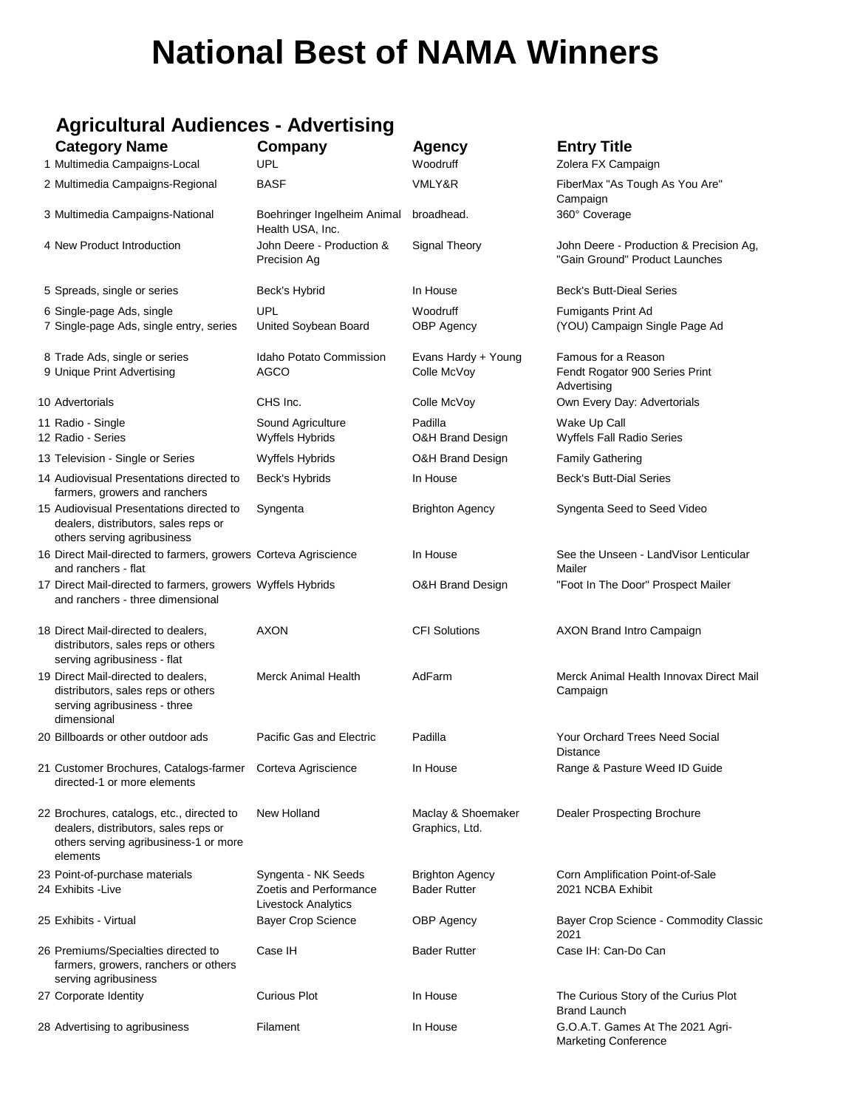# **National Best of NAMA Winners**

# **Agricultural Audiences - Advertising**

| <b>Category Name</b>                                                                                                                   | Company                                                              | <b>Agency</b>                                 | <b>Entry Title</b>                                                        |
|----------------------------------------------------------------------------------------------------------------------------------------|----------------------------------------------------------------------|-----------------------------------------------|---------------------------------------------------------------------------|
| 1 Multimedia Campaigns-Local                                                                                                           | <b>UPL</b>                                                           | Woodruff                                      | Zolera FX Campaign                                                        |
| 2 Multimedia Campaigns-Regional                                                                                                        | <b>BASF</b>                                                          | VMLY&R                                        | FiberMax "As Tough As You Are"<br>Campaign                                |
| 3 Multimedia Campaigns-National                                                                                                        | Boehringer Ingelheim Animal<br>Health USA, Inc.                      | broadhead.                                    | 360° Coverage                                                             |
| 4 New Product Introduction                                                                                                             | John Deere - Production &<br>Precision Ag                            | Signal Theory                                 | John Deere - Production & Precision Ag,<br>"Gain Ground" Product Launches |
| 5 Spreads, single or series                                                                                                            | Beck's Hybrid                                                        | In House                                      | <b>Beck's Butt-Dieal Series</b>                                           |
| 6 Single-page Ads, single                                                                                                              | <b>UPL</b>                                                           | Woodruff                                      | Fumigants Print Ad                                                        |
| 7 Single-page Ads, single entry, series                                                                                                | United Soybean Board                                                 | <b>OBP Agency</b>                             | (YOU) Campaign Single Page Ad                                             |
| 8 Trade Ads, single or series                                                                                                          | Idaho Potato Commission                                              | Evans Hardy + Young                           | Famous for a Reason                                                       |
| 9 Unique Print Advertising                                                                                                             | AGCO                                                                 | Colle McVoy                                   | Fendt Rogator 900 Series Print<br>Advertising                             |
| 10 Advertorials                                                                                                                        | CHS Inc.                                                             | Colle McVoy                                   | Own Every Day: Advertorials                                               |
| 11 Radio - Single<br>12 Radio - Series                                                                                                 | Sound Agriculture<br>Wyffels Hybrids                                 | Padilla<br>O&H Brand Design                   | Wake Up Call<br>Wyffels Fall Radio Series                                 |
| 13 Television - Single or Series                                                                                                       | Wyffels Hybrids                                                      | O&H Brand Design                              | <b>Family Gathering</b>                                                   |
| 14 Audiovisual Presentations directed to<br>farmers, growers and ranchers                                                              | Beck's Hybrids                                                       | In House                                      | <b>Beck's Butt-Dial Series</b>                                            |
| 15 Audiovisual Presentations directed to<br>dealers, distributors, sales reps or<br>others serving agribusiness                        | Syngenta                                                             | <b>Brighton Agency</b>                        | Syngenta Seed to Seed Video                                               |
| 16 Direct Mail-directed to farmers, growers Corteva Agriscience<br>and ranchers - flat                                                 |                                                                      | In House                                      | See the Unseen - LandVisor Lenticular<br>Mailer                           |
| 17 Direct Mail-directed to farmers, growers Wyffels Hybrids<br>and ranchers - three dimensional                                        |                                                                      | O&H Brand Design                              | "Foot In The Door" Prospect Mailer                                        |
| 18 Direct Mail-directed to dealers,<br>distributors, sales reps or others<br>serving agribusiness - flat                               | <b>AXON</b>                                                          | <b>CFI Solutions</b>                          | AXON Brand Intro Campaign                                                 |
| 19 Direct Mail-directed to dealers,<br>distributors, sales reps or others<br>serving agribusiness - three<br>dimensional               | <b>Merck Animal Health</b>                                           | AdFarm                                        | Merck Animal Health Innovax Direct Mail<br>Campaign                       |
| 20 Billboards or other outdoor ads                                                                                                     | Pacific Gas and Electric                                             | Padilla                                       | <b>Your Orchard Trees Need Social</b><br><b>Distance</b>                  |
| 21 Customer Brochures, Catalogs-farmer  Corteva Agriscience<br>directed-1 or more elements                                             |                                                                      | In House                                      | Range & Pasture Weed ID Guide                                             |
| 22 Brochures, catalogs, etc., directed to<br>dealers, distributors, sales reps or<br>others serving agribusiness-1 or more<br>elements | New Holland                                                          | Maclay & Shoemaker<br>Graphics, Ltd.          | <b>Dealer Prospecting Brochure</b>                                        |
| 23 Point-of-purchase materials<br>24 Exhibits -Live                                                                                    | Syngenta - NK Seeds<br>Zoetis and Performance<br>Livestock Analytics | <b>Brighton Agency</b><br><b>Bader Rutter</b> | Corn Amplification Point-of-Sale<br>2021 NCBA Exhibit                     |
| 25 Exhibits - Virtual                                                                                                                  | <b>Bayer Crop Science</b>                                            | <b>OBP</b> Agency                             | Bayer Crop Science - Commodity Classic<br>2021                            |
| 26 Premiums/Specialties directed to<br>farmers, growers, ranchers or others<br>serving agribusiness                                    | Case IH                                                              | <b>Bader Rutter</b>                           | Case IH: Can-Do Can                                                       |
| 27 Corporate Identity                                                                                                                  | <b>Curious Plot</b>                                                  | In House                                      | The Curious Story of the Curius Plot<br><b>Brand Launch</b>               |
| 28 Advertising to agribusiness                                                                                                         | Filament                                                             | In House                                      | G.O.A.T. Games At The 2021 Agri-<br><b>Marketing Conference</b>           |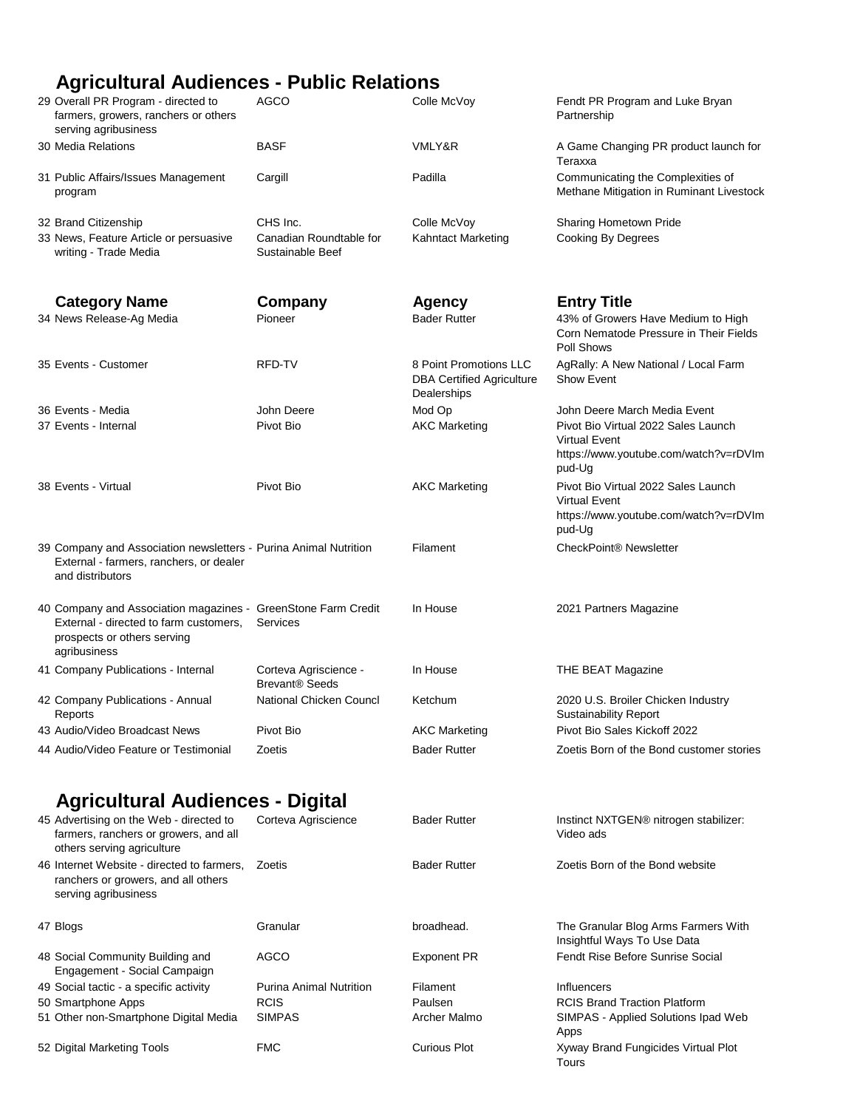# **Agricultural Audiences - Public Relations**

| 29 Overall PR Program - directed to<br>farmers, growers, ranchers or others<br>serving agribusiness                                                    | <b>AGCO</b>                                             | Colle McVoy                                                               | Fendt PR Program and Luke Bryan<br>Partnership                                                                 |
|--------------------------------------------------------------------------------------------------------------------------------------------------------|---------------------------------------------------------|---------------------------------------------------------------------------|----------------------------------------------------------------------------------------------------------------|
| 30 Media Relations                                                                                                                                     | BASF                                                    | VMLY&R                                                                    | A Game Changing PR product launch for<br>Teraxxa                                                               |
| 31 Public Affairs/Issues Management<br>program                                                                                                         | Cargill                                                 | Padilla                                                                   | Communicating the Complexities of<br>Methane Mitigation in Ruminant Livestock                                  |
| 32 Brand Citizenship<br>33 News, Feature Article or persuasive<br>writing - Trade Media                                                                | CHS Inc.<br>Canadian Roundtable for<br>Sustainable Beef | Colle McVoy<br><b>Kahntact Marketing</b>                                  | <b>Sharing Hometown Pride</b><br><b>Cooking By Degrees</b>                                                     |
| <b>Category Name</b>                                                                                                                                   | Company                                                 | <b>Agency</b>                                                             | <b>Entry Title</b>                                                                                             |
| 34 News Release-Ag Media                                                                                                                               | Pioneer                                                 | <b>Bader Rutter</b>                                                       | 43% of Growers Have Medium to High<br>Corn Nematode Pressure in Their Fields<br>Poll Shows                     |
| 35 Events - Customer                                                                                                                                   | RFD-TV                                                  | 8 Point Promotions LLC<br><b>DBA Certified Agriculture</b><br>Dealerships | AgRally: A New National / Local Farm<br>Show Event                                                             |
| 36 Events - Media                                                                                                                                      | John Deere                                              | Mod Op                                                                    | John Deere March Media Event                                                                                   |
| 37 Events - Internal                                                                                                                                   | Pivot Bio                                               | <b>AKC Marketing</b>                                                      | Pivot Bio Virtual 2022 Sales Launch<br><b>Virtual Event</b><br>https://www.youtube.com/watch?v=rDVIm<br>pud-Ug |
| 38 Events - Virtual                                                                                                                                    | Pivot Bio                                               | <b>AKC Marketing</b>                                                      | Pivot Bio Virtual 2022 Sales Launch<br><b>Virtual Event</b><br>https://www.youtube.com/watch?v=rDVIm<br>pud-Ug |
| 39 Company and Association newsletters - Purina Animal Nutrition<br>External - farmers, ranchers, or dealer<br>and distributors                        |                                                         | Filament                                                                  | CheckPoint <sup>®</sup> Newsletter                                                                             |
| 40 Company and Association magazines - GreenStone Farm Credit<br>External - directed to farm customers,<br>prospects or others serving<br>agribusiness | Services                                                | In House                                                                  | 2021 Partners Magazine                                                                                         |
| 41 Company Publications - Internal                                                                                                                     | Corteva Agriscience -<br><b>Brevant® Seeds</b>          | In House                                                                  | THE BEAT Magazine                                                                                              |
| 42 Company Publications - Annual<br>Reports                                                                                                            | National Chicken Councl                                 | Ketchum                                                                   | 2020 U.S. Broiler Chicken Industry<br><b>Sustainability Report</b>                                             |
| 43 Audio/Video Broadcast News                                                                                                                          | Pivot Bio                                               | <b>AKC Marketing</b>                                                      | Pivot Bio Sales Kickoff 2022                                                                                   |
| 44 Audio/Video Feature or Testimonial                                                                                                                  | Zoetis                                                  | <b>Bader Rutter</b>                                                       | Zoetis Born of the Bond customer stories                                                                       |
| <b>Agricultural Audiences - Digital</b>                                                                                                                |                                                         |                                                                           |                                                                                                                |
| 45 Advertising on the Web - directed to<br>farmers, ranchers or growers, and all<br>others serving agriculture                                         | Corteva Agriscience                                     | <b>Bader Rutter</b>                                                       | Instinct NXTGEN® nitrogen stabilizer:<br>Video ads                                                             |
| 46 Internet Website - directed to farmers,<br>ranchers or growers, and all others<br>serving agribusiness                                              | Zoetis                                                  | <b>Bader Rutter</b>                                                       | Zoetis Born of the Bond website                                                                                |
| 47 Blogs                                                                                                                                               | Granular                                                | broadhead.                                                                | The Granular Blog Arms Farmers With<br>Insightful Ways To Use Data                                             |
| 48 Social Community Building and<br>Engagement - Social Campaign                                                                                       | AGCO                                                    | <b>Exponent PR</b>                                                        | Fendt Rise Before Sunrise Social                                                                               |
| 49 Social tactic - a specific activity                                                                                                                 | Purina Animal Nutrition                                 | Filament                                                                  | <b>Influencers</b>                                                                                             |
| 50 Smartphone Apps<br>51 Other non-Smartphone Digital Media                                                                                            | <b>RCIS</b><br><b>SIMPAS</b>                            | Paulsen<br>Archer Malmo                                                   | <b>RCIS Brand Traction Platform</b><br>SIMPAS - Applied Solutions Ipad Web                                     |
| 52 Digital Marketing Tools                                                                                                                             | <b>FMC</b>                                              | <b>Curious Plot</b>                                                       | Apps<br>Xyway Brand Fungicides Virtual Plot<br>Tours                                                           |